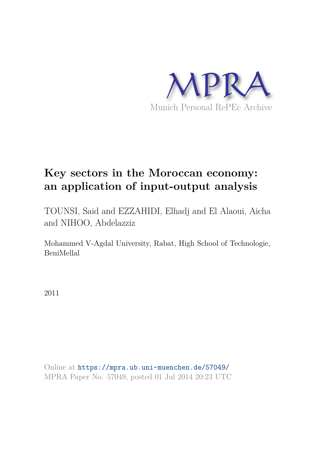

# **Key sectors in the Moroccan economy: an application of input-output analysis**

TOUNSI, Said and EZZAHIDI, Elhadj and El Alaoui, Aicha and NIHOO, Abdelazziz

Mohammed V-Agdal University, Rabat, High School of Technologie, BeniMellal

2011

Online at https://mpra.ub.uni-muenchen.de/57049/ MPRA Paper No. 57049, posted 01 Jul 2014 20:23 UTC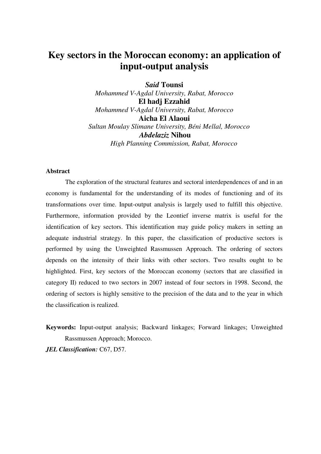# **Key sectors in the Moroccan economy: an application of input-output analysis**

*Said* **Tounsi** *Mohammed V-Agdal University, Rabat, Morocco* **El hadj Ezzahid** *Mohammed V-Agdal University, Rabat, Morocco* **Aicha El Alaoui** *Sultan Moulay Slimane University, Béni Mellal, Morocco Abdelaziz* **Nihou** *High Planning Commission, Rabat, Morocco*

## **Abstract**

The exploration of the structural features and sectoral interdependences of and in an economy is fundamental for the understanding of its modes of functioning and of its transformations over time. Input-output analysis is largely used to fulfill this objective. Furthermore, information provided by the Leontief inverse matrix is useful for the identification of key sectors. This identification may guide policy makers in setting an adequate industrial strategy. In this paper, the classification of productive sectors is performed by using the Unweighted Rassmussen Approach. The ordering of sectors depends on the intensity of their links with other sectors. Two results ought to be highlighted. First, key sectors of the Moroccan economy (sectors that are classified in category II) reduced to two sectors in 2007 instead of four sectors in 1998. Second, the ordering of sectors is highly sensitive to the precision of the data and to the year in which the classification is realized.

**Keywords:** Input-output analysis; Backward linkages; Forward linkages; Unweighted Rassmussen Approach; Morocco.

*JEL Classification:* C67, D57.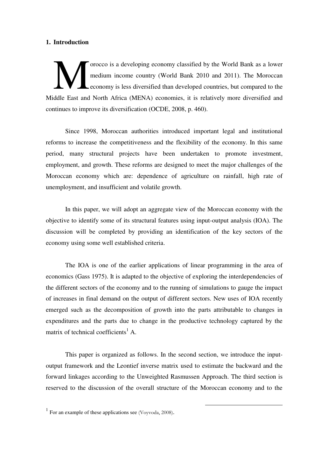# **1. Introduction**

orocco is a developing economy classified by the World Bank as a lower medium income country (World Bank 2010 and 2011). The Moroccan economy is less diversified than developed countries, but compared to the The Middle East and North Africa (MENA) economies, it is relatively more diversified and Morth Africa (MENA) economies, it is relatively more diversified and continues to improve its diversification (OCDE, 2008, p. 460).

Since 1998, Moroccan authorities introduced important legal and institutional reforms to increase the competitiveness and the flexibility of the economy. In this same period, many structural projects have been undertaken to promote investment, employment, and growth. These reforms are designed to meet the major challenges of the Moroccan economy which are: dependence of agriculture on rainfall, high rate of unemployment, and insufficient and volatile growth.

In this paper, we will adopt an aggregate view of the Moroccan economy with the objective to identify some of its structural features using input-output analysis (IOA). The discussion will be completed by providing an identification of the key sectors of the economy using some well established criteria.

The IOA is one of the earlier applications of linear programming in the area of economics (Gass 1975). It is adapted to the objective of exploring the interdependencies of the different sectors of the economy and to the running of simulations to gauge the impact of increases in final demand on the output of different sectors. New uses of IOA recently emerged such as the decomposition of growth into the parts attributable to changes in expenditures and the parts due to change in the productive technology captured by the matrix of technical coefficients<sup>1</sup> A.

This paper is organized as follows. In the second section, we introduce the inputoutput framework and the Leontief inverse matrix used to estimate the backward and the forward linkages according to the Unweighted Rasmussen Approach. The third section is reserved to the discussion of the overall structure of the Moroccan economy and to the

 $<sup>1</sup>$  For an example of these applications see (Voyvoda, 2008).</sup>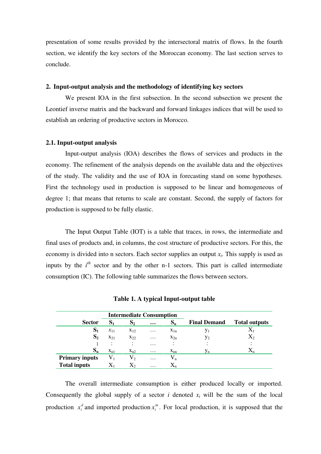presentation of some results provided by the intersectoral matrix of flows. In the fourth section, we identify the key sectors of the Moroccan economy. The last section serves to conclude.

#### **2. Input-output analysis and the methodology of identifying key sectors**

We present IOA in the first subsection. In the second subsection we present the Leontief inverse matrix and the backward and forward linkages indices that will be used to establish an ordering of productive sectors in Morocco.

#### **2.1. Input-output analysis**

Input-output analysis (IOA) describes the flows of services and products in the economy. The refinement of the analysis depends on the available data and the objectives of the study. The validity and the use of IOA in forecasting stand on some hypotheses. First the technology used in production is supposed to be linear and homogeneous of degree 1; that means that returns to scale are constant. Second, the supply of factors for production is supposed to be fully elastic.

The Input Output Table (IOT) is a table that traces, in rows, the intermediate and final uses of products and, in columns, the cost structure of productive sectors. For this, the economy is divided into n sectors. Each sector supplies an output *x<sup>i</sup>* . This supply is used as inputs by the  $i^h$  sector and by the other n-1 sectors. This part is called intermediate consumption (IC). The following table summarizes the flows between sectors.

|                       |                                                                   | <b>Intermediate Consumption</b> |          |                |                     |                      |
|-----------------------|-------------------------------------------------------------------|---------------------------------|----------|----------------|---------------------|----------------------|
| <b>Sector</b>         | S <sub>1</sub>                                                    | S <sub>2</sub>                  | $\cdots$ | $S_n$          | <b>Final Demand</b> | <b>Total outputs</b> |
| S <sub>1</sub>        | $x_{11}$                                                          | $X_{12}$                        | $\cdots$ | $X_{1n}$       | y <sub>1</sub>      |                      |
| S <sub>2</sub>        | $X_{21}$<br>$X_{22}$<br>٠<br>٠<br>$\ddot{\phantom{a}}$<br>$\cdot$ |                                 | $\cdots$ | $X_{2n}$       | $y_2$               | $\mathrm{X}_2$       |
| $\bullet$             |                                                                   |                                 | $\cdots$ | ٠<br>$\bullet$ | $\bullet$           |                      |
| $S_{n}$               | $X_{n1}$                                                          | $X_{n2}$                        | $\cdots$ | $X_{nn}$       | Уn                  | $\Lambda_{n}$        |
| <b>Primary inputs</b> | $V_1$                                                             | V,                              | $\cdots$ | $V_{n}$        |                     |                      |
| <b>Total inputs</b>   | $\mathbf{A}$                                                      | $X_2$                           | $\cdots$ | $X_{n}$        |                     |                      |

**Table 1. A typical Input-output table**

The overall intermediate consumption is either produced locally or imported. Consequently the global supply of a sector *i* denoted  $x_i$  will be the sum of the local production  $x_i^d$  and imported production  $x_i^m$ . For local production, it is supposed that the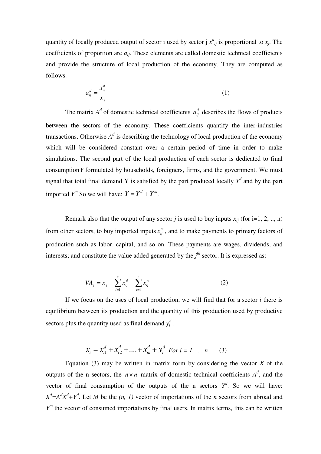quantity of locally produced output of sector i used by sector j  $x^d_{ij}$  is proportional to  $x_j$ . The coefficients of proportion are  $a_{ij}$ . These elements are called domestic technical coefficients and provide the structure of local production of the economy. They are computed as follows.

$$
a_{ij}^d = \frac{x_{ij}^d}{x_j} \tag{1}
$$

The matrix  $A^d$  of domestic technical coefficients  $a_{ij}^d$  describes the flows of products between the sectors of the economy. These coefficients quantify the inter-industries transactions. Otherwise  $A^d$  is describing the technology of local production of the economy which will be considered constant over a certain period of time in order to make simulations. The second part of the local production of each sector is dedicated to final consumption*Y* formulated by households, foreigners, firms, and the government. We must signal that total final demand Y is satisfied by the part produced locally  $Y^d$  and by the part imported  $Y^m$  So we will have:  $Y = Y^d + Y^m$ .

Remark also that the output of any sector *j* is used to buy inputs  $x_{ij}$  (for i=1, 2, .., n) from other sectors, to buy imported inputs  $x_{ij}^m$ , and to make payments to primary factors of production such as labor, capital, and so on. These payments are wages, dividends, and interests; and constitute the value added generated by the  $j<sup>th</sup>$  sector. It is expressed as:

$$
VA_j = x_j - \sum_{i=1}^n x_{ij}^d - \sum_{i=1}^n x_{ij}^m
$$
 (2)

If we focus on the uses of local production, we will find that for a sector *i* there is equilibrium between its production and the quantity of this production used by productive sectors plus the quantity used as final demand  $y_i^d$ .

$$
x_i = x_{i1}^d + x_{i2}^d + \dots + x_{in}^d + y_i^d
$$
 For  $i = 1, ..., n$  (3)

Equation  $(3)$  may be written in matrix form by considering the vector *X* of the outputs of the n sectors, the  $n \times n$  matrix of domestic technical coefficients  $A^d$ , and the vector of final consumption of the outputs of the n sectors  $Y^d$ . So we will have:  $X^d = A^d X^d + Y^d$ . Let *M* be the *(n, 1)* vector of importations of the *n* sectors from abroad and *Y*<sup>*m*</sup> the vector of consumed importations by final users. In matrix terms, this can be written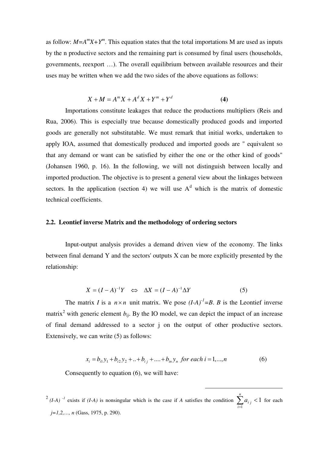as follow:  $M = A^m X + Y^m$ . This equation states that the total importations M are used as inputs by the n productive sectors and the remaining part is consumed by final users (households, governments, reexport …). The overall equilibrium between available resources and their uses may be written when we add the two sides of the above equations as follows:

$$
X + M = A^m X + A^d X + Y^m + Y^d
$$
 (4)

Importations constitute leakages that reduce the productions multipliers (Reis and Rua, 2006). This is especially true because domestically produced goods and imported goods are generally not substitutable. We must remark that initial works, undertaken to apply IOA, assumed that domestically produced and imported goods are " equivalent so that any demand or want can be satisfied by either the one or the other kind of goods" (Johansen 1960, p. 16). In the following, we will not distinguish between locally and imported production. The objective is to present a general view about the linkages between sectors. In the application (section 4) we will use  $A<sup>d</sup>$  which is the matrix of domestic technical coefficients.

# **2.2. Leontief inverse Matrix and the methodology of ordering sectors**

Input-output analysis provides a demand driven view of the economy. The links between final demand Y and the sectors' outputs X can be more explicitly presented by the relationship:

$$
X = (I - A)^{-1}Y \iff \Delta X = (I - A)^{-1}\Delta Y \tag{5}
$$

The matrix *I* is a  $n \times n$  unit matrix. We pose  $(I-A)^{-1} = B$ . *B* is the Leontief inverse matrix<sup>2</sup> with generic element  $b_{ij}$ . By the IO model, we can depict the impact of an increase of final demand addressed to a sector j on the output of other productive sectors. Extensively, we can write (5) as follows:

$$
x_i = b_{i1}y_1 + b_{i2}y_2 + ... + b_{i_j} + ... + b_{in}y_n \text{ for each } i = 1,...,n
$$
 (6)

Consequently to equation (6), we will have:

<sup>2</sup> (*I-A*)<sup>-*1*</sup> exists if (*I-A*) is nonsingular which is the case if *A* satisfies the condition  $\sum_{i=1}^{n} a_{i j} < 1$ 1 *n i*  $a_{i}$  < 1 for each *j=1,2,…, n* (Gass, 1975, p. 290).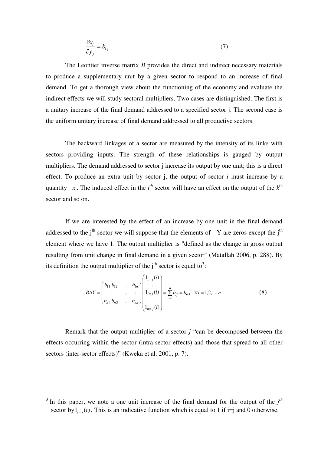$$
\frac{\partial x_i}{\partial y_j} = b_{ij} \tag{7}
$$

The Leontief inverse matrix *B* provides the direct and indirect necessary materials to produce a supplementary unit by a given sector to respond to an increase of final demand. To get a thorough view about the functioning of the economy and evaluate the indirect effects we will study sectoral multipliers. Two cases are distinguished. The first is a unitary increase of the final demand addressed to a specified sector j. The second case is the uniform unitary increase of final demand addressed to all productive sectors.

The backward linkages of a sector are measured by the intensity of its links with sectors providing inputs. The strength of these relationships is gauged by output multipliers. The demand addressed to sector j increase its output by one unit; this is a direct effect. To produce an extra unit by sector j, the output of sector *i* must increase by a quantity  $x_i$ . The induced effect in the *i*<sup>th</sup> sector will have an effect on the output of the  $k^{\text{th}}$ sector and so on.

If we are interested by the effect of an increase by one unit in the final demand addressed to the  $j<sup>th</sup>$  sector we will suppose that the elements of Y are zeros except the  $j<sup>th</sup>$ element where we have 1. The output multiplier is "defined as the change in gross output resulting from unit change in final demand in a given sector" (Matallah 2006, p. 288). By its definition the output multiplier of the  $j<sup>th</sup>$  sector is equal to<sup>3</sup>:

$$
B\Delta Y = \begin{pmatrix} b_{11} & b_{12} & \dots & b_{1n} \\ \vdots & \dots & \vdots \\ b_{n1} & b_{n2} & \dots & b_{nn} \end{pmatrix} \begin{pmatrix} 1_{1=j}(i) \\ \vdots \\ 1_{i=j}(i) \\ \vdots \\ 1_{n=j}(i) \end{pmatrix} = \sum_{i=1}^{n} b_{ij} = b_{\bullet} j, \forall i = 1, 2, ..., n
$$
 (8)

Remark that the output multiplier of a sector *j* "can be decomposed between the effects occurring within the sector (intra-sector effects) and those that spread to all other sectors (inter-sector effects)" (Kweka et al. 2001, p. 7).

<sup>&</sup>lt;sup>3</sup> In this paper, we note a one unit increase of the final demand for the output of the  $j<sup>th</sup>$ sector by  $1_{i=j}(i)$ . This is an indicative function which is equal to 1 if i=j and 0 otherwise.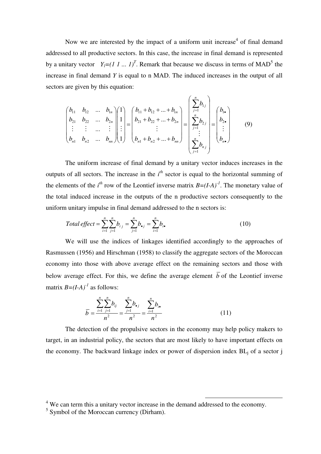Now we are interested by the impact of a uniform unit increase<sup>4</sup> of final demand addressed to all productive sectors. In this case, the increase in final demand is represented by a unitary vector  $Y_l = (1 \, 1 \, ... \, 1)^T$ . Remark that because we discuss in terms of MAD<sup>5</sup> the increase in final demand *Y* is equal to n MAD. The induced increases in the output of all sectors are given by this equation:

$$
\begin{pmatrix} b_{11} & b_{12} & \dots & b_{1n} \\ b_{21} & b_{22} & \dots & b_{2n} \\ \vdots & \vdots & \dots & \vdots \\ b_{n1} & b_{n2} & \dots & b_{nn} \end{pmatrix} \begin{pmatrix} 1 \\ 1 \\ \vdots \\ 1 \end{pmatrix} = \begin{pmatrix} b_{11} + b_{12} + \dots + b_{1n} \\ b_{21} + b_{22} + \dots + b_{2n} \\ \vdots \\ b_{n1} + b_{n2} + \dots + b_{nn} \end{pmatrix} = \begin{pmatrix} \sum_{j=1}^{n} b_{1j} \\ \sum_{j=1}^{n} b_{2j} \\ \vdots \\ \sum_{j=1}^{n} b_{nj} \end{pmatrix} = \begin{pmatrix} b_{1\bullet} \\ b_{2\bullet} \\ \vdots \\ b_{n\bullet} \end{pmatrix}
$$
 (9)

The uniform increase of final demand by a unitary vector induces increases in the outputs of all sectors. The increase in the  $i<sup>th</sup>$  sector is equal to the horizontal summing of the elements of the  $i^{th}$  row of the Leontief inverse matrix  $B=(I-A)^{-1}$ . The monetary value of the total induced increase in the outputs of the n productive sectors consequently to the uniform unitary impulse in final demand addressed to the n sectors is:

Total effect = 
$$
\sum_{i=1}^{n} \sum_{j=1}^{n} b_{i j} = \sum_{j=1}^{n} b_{i j} = \sum_{i=1}^{n} b_{i j}
$$
 (10)

We will use the indices of linkages identified accordingly to the approaches of Rasmussen (1956) and Hirschman (1958) to classify the aggregate sectors of the Moroccan economy into those with above average effect on the remaining sectors and those with below average effect. For this, we define the average element  $\overline{b}$  of the Leontief inverse matrix  $B=(I-A)^{-1}$  as follows:

$$
\overline{b} = \frac{\sum_{i=1}^{n} \sum_{j=1}^{n} b_{ij}}{n^2} = \frac{\sum_{j=1}^{n} b_{\bullet j}}{n^2} = \frac{\sum_{i=1}^{n} b_{i \bullet}}{n^2}
$$
(11)

The detection of the propulsive sectors in the economy may help policy makers to target, in an industrial policy, the sectors that are most likely to have important effects on the economy. The backward linkage index or power of dispersion index  $BL_i$  of a sector j

<sup>&</sup>lt;sup>4</sup> We can term this a unitary vector increase in the demand addressed to the economy.

<sup>&</sup>lt;sup>5</sup> Symbol of the Moroccan currency (Dirham).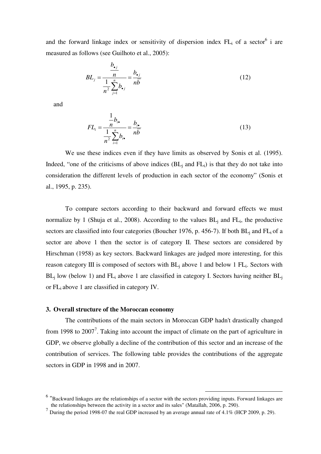and the forward linkage index or sensitivity of dispersion index  $FL_i$  of a sector<sup>6</sup> i are measured as follows (see Guilhoto et al., 2005):

$$
BL_j = \frac{\frac{b_{\bullet j}}{n}}{\frac{1}{n^2} \sum_{j=1}^n b_{\bullet j}} = \frac{b_{\bullet j}}{n\overline{b}}
$$
(12)

and

$$
FL_{i} = \frac{\frac{1}{n}b_{i\bullet}}{\frac{1}{n^{2}}\sum_{i=1}^{n}b_{i\bullet}} = \frac{b_{i\bullet}}{n\overline{b}}
$$
(13)

We use these indices even if they have limits as observed by Sonis et al. (1995). Indeed, "one of the criticisms of above indices  $(BL_i)$  and  $FL_i$ ) is that they do not take into consideration the different levels of production in each sector of the economy" (Sonis et al., 1995, p. 235).

To compare sectors according to their backward and forward effects we must normalize by 1 (Shuja et al., 2008). According to the values  $BL<sub>j</sub>$  and  $FL<sub>i</sub>$ , the productive sectors are classified into four categories (Boucher 1976, p. 456-7). If both  $BL<sub>i</sub>$  and  $FL<sub>i</sub>$  of a sector are above 1 then the sector is of category II. These sectors are considered by Hirschman (1958) as key sectors. Backward linkages are judged more interesting, for this reason category III is composed of sectors with  $BL<sub>j</sub>$  above 1 and below 1  $FL<sub>i</sub>$ . Sectors with  $BL_i$  low (below 1) and  $FL_i$  above 1 are classified in category I. Sectors having neither  $BL_i$ or FL<sup>i</sup> above 1 are classified in category IV.

# **3. Overall structure of the Moroccan economy**

The contributions of the main sectors in Moroccan GDP hadn't drastically changed from 1998 to  $2007<sup>7</sup>$ . Taking into account the impact of climate on the part of agriculture in GDP, we observe globally a decline of the contribution of this sector and an increase of the contribution of services. The following table provides the contributions of the aggregate sectors in GDP in 1998 and in 2007.

<sup>&</sup>lt;sup>6</sup> "Backward linkages are the relationships of a sector with the sectors providing inputs. Forward linkages are the relationships between the activity in a sector and its sales" (Matallah, 2006, p. 290).

<sup>&</sup>lt;sup>7</sup> During the period 1998-07 the real GDP increased by an average annual rate of 4.1% (HCP 2009, p. 29).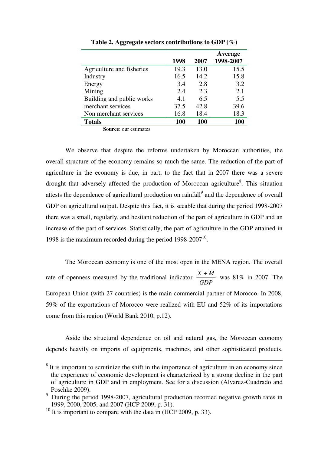|                           | 1998 | 2007 | Average<br>1998-2007 |
|---------------------------|------|------|----------------------|
| Agriculture and fisheries | 19.3 | 13.0 | 15.5                 |
| Industry                  | 16.5 | 14.2 | 15.8                 |
| Energy                    | 3.4  | 2.8  | 3.2                  |
| Mining                    | 2.4  | 2.3  | 2.1                  |
| Building and public works | 4.1  | 6.5  | 5.5                  |
| merchant services         | 37.5 | 42.8 | 39.6                 |
| Non merchant services     | 16.8 | 18.4 | 18.3                 |
| <b>Totals</b>             | 100  | 100  | 100                  |

**Table 2. Aggregate sectors contributions to GDP (%)**

**Source**: our estimates

We observe that despite the reforms undertaken by Moroccan authorities, the overall structure of the economy remains so much the same. The reduction of the part of agriculture in the economy is due, in part, to the fact that in 2007 there was a severe drought that adversely affected the production of Moroccan agriculture<sup>8</sup>. This situation attests the dependence of agricultural production on rainfall<sup>9</sup> and the dependence of overall GDP on agricultural output. Despite this fact, it is seeable that during the period 1998-2007 there was a small, regularly, and hesitant reduction of the part of agriculture in GDP and an increase of the part of services. Statistically, the part of agriculture in the GDP attained in 1998 is the maximum recorded during the period  $1998-2007^{10}$ .

The Moroccan economy is one of the most open in the MENA region. The overall rate of openness measured by the traditional indicator *GDP*  $\frac{X + M}{\sim 2007}$  was 81% in 2007. The European Union (with 27 countries) is the main commercial partner of Morocco. In 2008, 59% of the exportations of Morocco were realized with EU and 52% of its importations come from this region (World Bank 2010, p.12).

Aside the structural dependence on oil and natural gas, the Moroccan economy depends heavily on imports of equipments, machines, and other sophisticated products.

 $8$  It is important to scrutinize the shift in the importance of agriculture in an economy since the experience of economic development is characterized by a strong decline in the part of agriculture in GDP and in employment. See for a discussion (Alvarez-Cuadrado and Poschke 2009).

<sup>&</sup>lt;sup>9</sup> During the period 1998-2007, agricultural production recorded negative growth rates in 1999, 2000, 2005, and 2007 (HCP 2009, p. 31).

<sup>&</sup>lt;sup>10</sup> It is important to compare with the data in (HCP 2009, p. 33).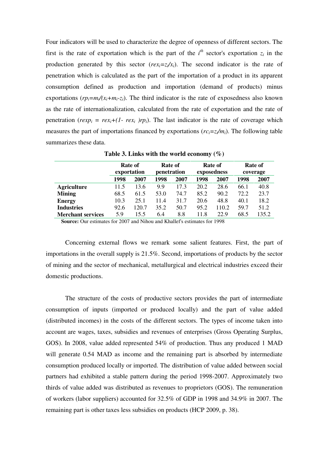Four indicators will be used to characterize the degree of openness of different sectors. The first is the rate of exportation which is the part of the  $i<sup>th</sup>$  sector's exportation  $z<sub>i</sub>$  in the production generated by this sector  $(rex_i=z_i/x_i)$ . The second indicator is the rate of penetration which is calculated as the part of the importation of a product in its apparent consumption defined as production and importation (demand of products) minus exportations  $(rp_i=m_i/(x_i+m_i-z_i)$ . The third indicator is the rate of exposedness also known as the rate of internationalization, calculated from the rate of exportation and the rate of penetration ( $rexp_i = rex_i+(1 - rex_i)rp_i$ ). The last indicator is the rate of coverage which measures the part of importations financed by exportations  $(rc_i = z_i/m_i)$ . The following table summarizes these data.

|                          |      | <b>Rate of</b><br>exportation | Rate of<br>penetration |      |      | Rate of<br>exposedness | Rate of<br>coverage |       |  |
|--------------------------|------|-------------------------------|------------------------|------|------|------------------------|---------------------|-------|--|
|                          | 1998 | 2007                          | 1998                   | 2007 | 1998 | 2007                   | 1998                | 2007  |  |
| <b>Agriculture</b>       | 11.5 | 13.6                          | 9.9                    | 17.3 | 20.2 | 28.6                   | 66.1                | 40.8  |  |
| <b>Mining</b>            | 68.5 | 61.5                          | 53.0                   | 74.7 | 85.2 | 90.2                   | 72.2                | 23.7  |  |
| <b>Energy</b>            | 10.3 | 25.1                          | 11.4                   | 31.7 | 20.6 | 48.8                   | 40.1                | 18.2  |  |
| <b>Industries</b>        | 92.6 | 120.7                         | 35.2                   | 50.7 | 95.2 | 110.2                  | 59.7                | 51.2  |  |
| <b>Merchant services</b> | 5.9  | 15.5                          | 6.4                    | 8.8  | 11.8 | 22.9                   | 68.5                | 135.2 |  |

**Table 3. Links with the world economy (%)**

**Source:** Our estimates for 2007 and Nihou and Khallef's estimates for 1998

Concerning external flows we remark some salient features. First, the part of importations in the overall supply is 21.5%. Second, importations of products by the sector of mining and the sector of mechanical, metallurgical and electrical industries exceed their domestic productions.

The structure of the costs of productive sectors provides the part of intermediate consumption of inputs (imported or produced locally) and the part of value added (distributed incomes) in the costs of the different sectors. The types of income taken into account are wages, taxes, subsidies and revenues of enterprises (Gross Operating Surplus, GOS). In 2008, value added represented 54% of production. Thus any produced 1 MAD will generate 0.54 MAD as income and the remaining part is absorbed by intermediate consumption produced locally or imported. The distribution of value added between social partners had exhibited a stable pattern during the period 1998-2007. Approximately two thirds of value added was distributed as revenues to proprietors (GOS). The remuneration of workers (labor suppliers) accounted for 32.5% of GDP in 1998 and 34.9% in 2007. The remaining part is other taxes less subsidies on products (HCP 2009, p. 38).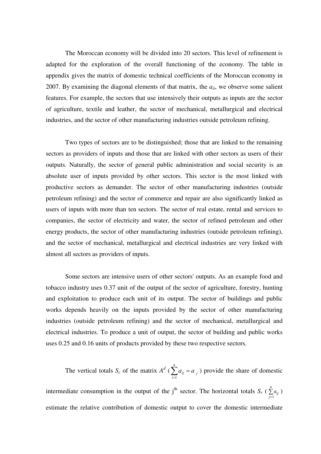The Moroccan economy will be divided into 20 sectors. This level of refinement is adapted for the exploration of the overall functioning of the economy. The table in appendix gives the matrix of domestic technical coefficients of the Moroccan economy in 2007. By examining the diagonal elements of that matrix, the *aii*, we observe some salient features. For example, the sectors that use intensively their outputs as inputs are the sector of agriculture, textile and leather, the sector of mechanical, metallurgical and electrical industries, and the sector of other manufacturing industries outside petroleum refining.

Two types of sectors are to be distinguished; those that are linked to the remaining sectors as providers of inputs and those that are linked with other sectors as users of their outputs. Naturally, the sector of general public administration and social security is an absolute user of inputs provided by other sectors. This sector is the most linked with productive sectors as demander. The sector of other manufacturing industries (outside petroleum refining) and the sector of commerce and repair are also significantly linked as users of inputs with more than ten sectors. The sector of real estate, rental and services to companies, the sector of electricity and water, the sector of refined petroleum and other energy products, the sector of other manufacturing industries (outside petroleum refining), and the sector of mechanical, metallurgical and electrical industries are very linked with almost all sectors as providers of inputs.

Some sectors are intensive users of other sectors' outputs. As an example food and tobacco industry uses 0.37 unit of the output of the sector of agriculture, forestry, hunting and exploitation to produce each unit of its output. The sector of buildings and public works depends heavily on the inputs provided by the sector of other manufacturing industries (outside petroleum refining) and the sector of mechanical, metallurgical and electrical industries. To produce a unit of output, the sector of building and public works uses 0.25 and 0.16 units of products provided by these two respective sectors.

The vertical totals *S<sub>c</sub>* of the matrix  $A^d$  ( $\sum_{i=1}^n$  $\sum_{n=1}^n a_n =$  $\sum_{i=1}^{n} a_{ij} = a_{ij}$ 1  $\mathcal{L}_{i,j}$ ) provide the share of domestic intermediate consumption in the output of the j<sup>th</sup> sector. The horizontal totals  $S_r$  ( $\sum_{j=1}^n$ *n*  $\sum_{j=1}$ *a*<sub>*ij*</sub> ) estimate the relative contribution of domestic output to cover the domestic intermediate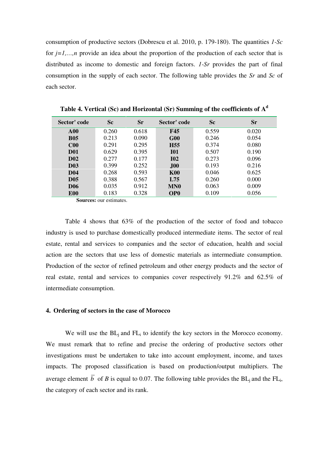consumption of productive sectors (Dobrescu et al. 2010, p. 179-180). The quantities *1-Sc* for *j=1,…,n* provide an idea about the proportion of the production of each sector that is distributed as income to domestic and foreign factors. *1-Sr* provides the part of final consumption in the supply of each sector. The following table provides the *Sr* and *Sc* of each sector.

| Sector' code    | <b>Sc</b> | $S_{r}$ | Sector' code    | <b>Sc</b> | Sr    |
|-----------------|-----------|---------|-----------------|-----------|-------|
| ${\bf A}00$     | 0.260     | 0.618   | <b>F45</b>      | 0.559     | 0.020 |
| <b>B05</b>      | 0.213     | 0.090   | G00             | 0.246     | 0.054 |
| C <sub>00</sub> | 0.291     | 0.295   | H <sub>55</sub> | 0.374     | 0.080 |
| <b>D01</b>      | 0.629     | 0.395   | <b>I01</b>      | 0.507     | 0.190 |
| <b>D02</b>      | 0.277     | 0.177   | <b>I02</b>      | 0.273     | 0.096 |
| <b>D03</b>      | 0.399     | 0.252   | J00             | 0.193     | 0.216 |
| <b>D04</b>      | 0.268     | 0.593   | <b>K00</b>      | 0.046     | 0.625 |
| <b>D05</b>      | 0.388     | 0.567   | L75             | 0.260     | 0.000 |
| <b>D06</b>      | 0.035     | 0.912   | <b>MNO</b>      | 0.063     | 0.009 |
| <b>E00</b>      | 0.183     | 0.328   | OP <sub>0</sub> | 0.109     | 0.056 |

**Table 4. Vertical (Sc) and Horizontal (Sr) Summing of the coefficients of A<sup>d</sup>**

**Sources:** our estimates.

Table 4 shows that 63% of the production of the sector of food and tobacco industry is used to purchase domestically produced intermediate items. The sector of real estate, rental and services to companies and the sector of education, health and social action are the sectors that use less of domestic materials as intermediate consumption. Production of the sector of refined petroleum and other energy products and the sector of real estate, rental and services to companies cover respectively 91.2% and 62.5% of intermediate consumption.

# **4. Ordering of sectors in the case of Morocco**

We will use the  $BL<sub>i</sub>$  and  $FL<sub>i</sub>$  to identify the key sectors in the Morocco economy. We must remark that to refine and precise the ordering of productive sectors other investigations must be undertaken to take into account employment, income, and taxes impacts. The proposed classification is based on production/output multipliers. The average element *b* of *B* is equal to 0.07. The following table provides the  $BL<sub>j</sub>$  and the  $FL<sub>i</sub>$ , the category of each sector and its rank.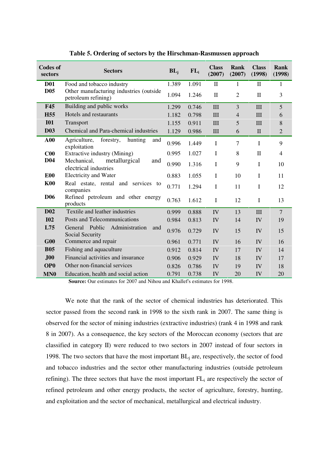| <b>Codes of</b><br>sectors | <b>Sectors</b>                                                 | $BL_i$ | $FL_i$ | <b>Class</b><br>(2007) | Rank<br>(2007) | <b>Class</b><br>(1998) | Rank<br>(1998) |
|----------------------------|----------------------------------------------------------------|--------|--------|------------------------|----------------|------------------------|----------------|
| <b>D01</b>                 | Food and tobacco industry                                      | 1.389  | 1.091  | $\mathbf{I}$           | 1              | $\mathbf{I}$           | $\mathbf{1}$   |
| D <sub>05</sub>            | Other manufacturing industries (outside<br>petroleum refining) | 1.094  | 1.246  | $\mathbf{I}$           | $\overline{2}$ | $\mathbf{I}$           | 3              |
| <b>F45</b>                 | Building and public works                                      | 1.299  | 0.746  | $\mathbf{I}$           | 3              | III                    | 5              |
| H <sub>55</sub>            | Hotels and restaurants                                         | 1.182  | 0.798  | III                    | $\overline{4}$ | III                    | 6              |
| <b>I01</b>                 | Transport                                                      | 1.155  | 0.911  | III                    | 5              | III                    | 8              |
| <b>D03</b>                 | Chemical and Para-chemical industries                          | 1.129  | 0.986  | $\mathop{\rm III}$     | 6              | $\mathbf{I}$           | $\overline{2}$ |
| A00                        | Agriculture,<br>forestry,<br>hunting<br>and<br>exploitation    | 0.996  | 1.449  | $\mathbf I$            | $\tau$         | I                      | 9              |
| C <sub>00</sub>            | Extractive industry (Mining)                                   | 0.995  | 1.027  | $\mathbf I$            | 8              | $\mathbf H$            | $\overline{4}$ |
| <b>D04</b>                 | Mechanical,<br>metallurgical<br>and<br>electrical industries   | 0.990  | 1.316  | $\bf I$                | 9              | $\mathbf I$            | 10             |
| E <sub>00</sub>            | <b>Electricity and Water</b>                                   | 0.883  | 1.055  | $\mathbf I$            | 10             | I                      | 11             |
| <b>K00</b>                 | Real estate, rental and services to<br>companies               | 0.771  | 1.294  | $\mathbf I$            | 11             | I                      | 12             |
| <b>D06</b>                 | Refined petroleum and other energy<br>products                 | 0.763  | 1.612  | $\mathbf I$            | 12             | I                      | 13             |
| <b>D02</b>                 | Textile and leather industries                                 | 0.999  | 0.888  | IV                     | 13             | III                    | $\overline{7}$ |
| <b>I02</b>                 | Posts and Telecommunications                                   | 0.984  | 0.813  | IV                     | 14             | IV                     | 19             |
| L75                        | General Public<br>Administration<br>and<br>Social Security     | 0.976  | 0.729  | IV                     | 15             | IV                     | 15             |
| G00                        | Commerce and repair                                            | 0.961  | 0.771  | IV                     | 16             | IV                     | 16             |
| <b>B05</b>                 | Fishing and aquaculture                                        | 0.912  | 0.814  | IV                     | 17             | IV                     | 14             |
| J00                        | Financial activities and insurance                             | 0.906  | 0.929  | IV                     | 18             | IV                     | 17             |
| <b>OPO</b>                 | Other non-financial services                                   | 0.826  | 0.786  | IV                     | 19             | IV                     | 18             |
| MN <sub>0</sub>            | Education, health and social action                            | 0.791  | 0.738  | IV                     | 20             | IV                     | 20             |

**Table 5. Ordering of sectors by the Hirschman-Rasmussen approach**

**Source:** Our estimates for 2007 and Nihou and Khallef's estimates for 1998.

We note that the rank of the sector of chemical industries has deteriorated. This sector passed from the second rank in 1998 to the sixth rank in 2007. The same thing is observed for the sector of mining industries (extractive industries) (rank 4 in 1998 and rank 8 in 2007). As a consequence, the key sectors of the Moroccan economy (sectors that are classified in category II) were reduced to two sectors in 2007 instead of four sectors in 1998. The two sectors that have the most important  $BL<sub>i</sub>$  are, respectively, the sector of food and tobacco industries and the sector other manufacturing industries (outside petroleum refining). The three sectors that have the most important  $FL<sub>i</sub>$  are respectively the sector of refined petroleum and other energy products, the sector of agriculture, forestry, hunting, and exploitation and the sector of mechanical, metallurgical and electrical industry.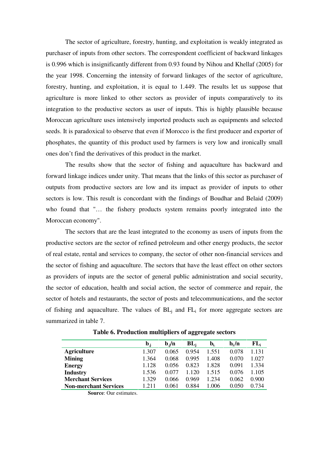The sector of agriculture, forestry, hunting, and exploitation is weakly integrated as purchaser of inputs from other sectors. The correspondent coefficient of backward linkages is 0.996 which is insignificantly different from 0.93 found by Nihou and Khellaf (2005) for the year 1998. Concerning the intensity of forward linkages of the sector of agriculture, forestry, hunting, and exploitation, it is equal to 1.449. The results let us suppose that agriculture is more linked to other sectors as provider of inputs comparatively to its integration to the productive sectors as user of inputs. This is highly plausible because Moroccan agriculture uses intensively imported products such as equipments and selected seeds. It is paradoxical to observe that even if Morocco is the first producer and exporter of phosphates, the quantity of this product used by farmers is very low and ironically small ones don't find the derivatives of this product in the market.

The results show that the sector of fishing and aquaculture has backward and forward linkage indices under unity. That means that the links of this sector as purchaser of outputs from productive sectors are low and its impact as provider of inputs to other sectors is low. This result is concordant with the findings of Boudhar and Belaid (2009) who found that "… the fishery products system remains poorly integrated into the Moroccan economy".

The sectors that are the least integrated to the economy as users of inputs from the productive sectors are the sector of refined petroleum and other energy products, the sector of real estate, rental and services to company, the sector of other non-financial services and the sector of fishing and aquaculture. The sectors that have the least effect on other sectors as providers of inputs are the sector of general public administration and social security, the sector of education, health and social action, the sector of commerce and repair, the sector of hotels and restaurants, the sector of posts and telecommunications, and the sector of fishing and aquaculture. The values of  $BL<sub>i</sub>$  and  $FL<sub>i</sub>$  for more aggregate sectors are summarized in table 7.

|                              | $\mathbf{b}_{\cdot i}$ | $\mathbf{b} \cdot \mathbf{n}$ | $BL_i$  | $b_{i.}$ | $\mathbf{b}_i/\mathbf{n}$ | $FL_i$ |
|------------------------------|------------------------|-------------------------------|---------|----------|---------------------------|--------|
| <b>Agriculture</b>           | 1.307                  | 0.065                         | 0.954   | 1.551    | 0.078                     | 1.131  |
| <b>Mining</b>                | 1.364                  | 0.068                         | 0.995   | 1.408    | 0.070                     | 1.027  |
| <b>Energy</b>                | 1.128                  | 0.056                         | 0.823   | 1.828    | 0.091                     | 1.334  |
| <b>Industry</b>              | 1.536                  | 0.077                         | 1 1 2 0 | 1 515    | 0.076                     | 1.105  |
| <b>Merchant Services</b>     | 1.329                  | 0.066                         | 0.969   | 1 234    | 0.062                     | 0.900  |
| <b>Non-merchant Services</b> | 1.211                  | 0.061                         | 0.884   | 1.006    | 0.050                     | 0.734  |

**Table 6. Production multipliers of aggregate sectors**

**Source**: Our estimates.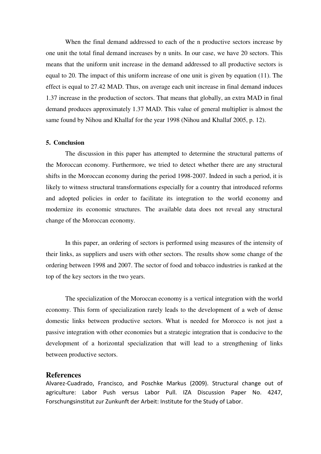When the final demand addressed to each of the n productive sectors increase by one unit the total final demand increases by n units. In our case, we have 20 sectors. This means that the uniform unit increase in the demand addressed to all productive sectors is equal to 20. The impact of this uniform increase of one unit is given by equation (11). The effect is equal to 27.42 MAD. Thus, on average each unit increase in final demand induces 1.37 increase in the production of sectors. That means that globally, an extra MAD in final demand produces approximately 1.37 MAD. This value of general multiplier is almost the same found by Nihou and Khallaf for the year 1998 (Nihou and Khallaf 2005, p. 12).

#### **5. Conclusion**

The discussion in this paper has attempted to determine the structural patterns of the Moroccan economy. Furthermore, we tried to detect whether there are any structural shifts in the Moroccan economy during the period 1998-2007. Indeed in such a period, it is likely to witness structural transformations especially for a country that introduced reforms and adopted policies in order to facilitate its integration to the world economy and modernize its economic structures. The available data does not reveal any structural change of the Moroccan economy.

In this paper, an ordering of sectors is performed using measures of the intensity of their links, as suppliers and users with other sectors. The results show some change of the ordering between 1998 and 2007. The sector of food and tobacco industries is ranked at the top of the key sectors in the two years.

The specialization of the Moroccan economy is a vertical integration with the world economy. This form of specialization rarely leads to the development of a web of dense domestic links between productive sectors. What is needed for Morocco is not just a passive integration with other economies but a strategic integration that is conducive to the development of a horizontal specialization that will lead to a strengthening of links between productive sectors.

# **References**

Alvarez-Cuadrado, Francisco, and Poschke Markus (2009). Structural change out of agriculture: Labor Push versus Labor Pull. IZA Discussion Paper No. 4247, Forschungsinstitut zur Zunkunft der Arbeit: Institute for the Study of Labor.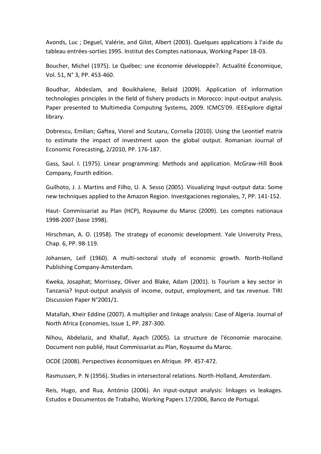Avonds, Luc ; Deguel, Valérie, and Gilot, Albert (2003). Quelques applications à l'aide du tableau entrées-sorties 1995. Institut des Comptes nationaux, Working Paper 18-03.

Boucher, Michel (1975). Le Québec: une économie développée?. Actualité Économique, Vol. 51, N° 3, PP. 453-460.

Boudhar, Abdeslam, and Bouikhalene, Belaid (2009). Application of information technologies principles in the field of fishery products in Morocco: input-output analysis. Paper presented to Multimedia Computing Systems, 2009. ICMCS'09. IEEExplore digital library.

Dobrescu, Emilian; Gaftea, Viorel and Scutaru, Cornelia (2010). Using the Leontief matrix to estimate the impact of investment upon the global output. Romanian Journal of Economic Forecasting, 2/2010, PP. 176-187.

Gass, Saul. I. (1975). Linear programming: Methods and application. McGraw-Hill Book Company, Fourth edition.

Guilhoto, J. J. Martins and Filho, U. A. Sesso (2005). Visualizing Input-output data: Some new techniques applied to the Amazon Region. Investgaciones regionales, 7, PP. 141-152.

Haut- Commissariat au Plan (HCP), Royaume du Maroc (2009). Les comptes nationaux 1998-2007 (base 1998).

Hirschman, A. O. (1958). The strategy of economic development. Yale University Press, Chap. 6, PP. 98-119.

Johansen, Leif (1960). A multi-sectoral study of economic growth. North-Holland Publishing Company-Amsterdam.

Kweka, Josaphat; Morrissey, Oliver and Blake, Adam (2001). Is Tourism a key sector in Tanzania? Input-output analysis of income, output, employment, and tax revenue. TIRI Discussion Paper N°2001/1.

Matallah, Kheir Eddine (2007). A multiplier and linkage analysis: Case of Algeria. Journal of North Africa Economies, Issue 1, PP. 287-300.

Nihou, Abdelaziz, and Khallaf, Ayach (2005). La structure de l'économie marocaine. Document non publié, Haut Commissariat au Plan, Royaume du Maroc.

OCDE (2008). Perspectives économiques en Afrique. PP. 457-472.

Rasmussen, P. N (1956). Studies in intersectoral relations. North-Holland, Amsterdam.

Reis, Hugo, and Rua, António (2006). An input-output analysis: linkages vs leakages. Estudos e Documentos de Trabalho, Working Papers 17/2006, Banco de Portugal.